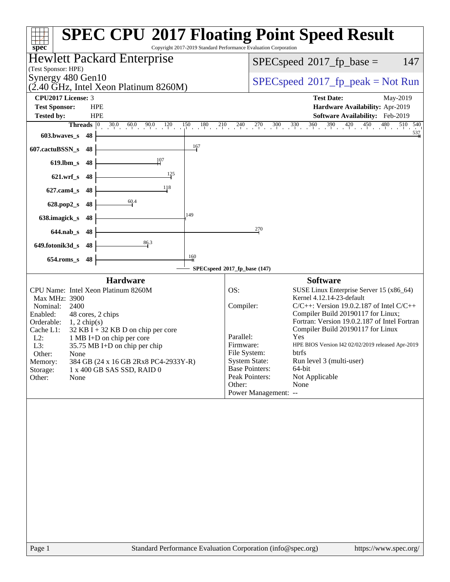| $spec^*$                                                                                                                                                                                                                                                                                                                                                                                                                          | <b>SPEC CPU®2017 Floating Point Speed Result</b><br>Copyright 2017-2019 Standard Performance Evaluation Corporation                                                                                                                                                                                                                                                                                                                                                                                                                                                          |
|-----------------------------------------------------------------------------------------------------------------------------------------------------------------------------------------------------------------------------------------------------------------------------------------------------------------------------------------------------------------------------------------------------------------------------------|------------------------------------------------------------------------------------------------------------------------------------------------------------------------------------------------------------------------------------------------------------------------------------------------------------------------------------------------------------------------------------------------------------------------------------------------------------------------------------------------------------------------------------------------------------------------------|
| Hewlett Packard Enterprise                                                                                                                                                                                                                                                                                                                                                                                                        | 147<br>$SPEC speed^{\circ}2017\_fp\_base =$                                                                                                                                                                                                                                                                                                                                                                                                                                                                                                                                  |
| (Test Sponsor: HPE)<br>Synergy 480 Gen10<br>(2.40 GHz, Intel Xeon Platinum 8260M)                                                                                                                                                                                                                                                                                                                                                 | $SPEC speed^{\circ}2017\_fp\_peak = Not Run$                                                                                                                                                                                                                                                                                                                                                                                                                                                                                                                                 |
| <b>CPU2017 License: 3</b><br><b>Test Sponsor:</b><br><b>HPE</b><br><b>HPE</b><br><b>Tested by:</b>                                                                                                                                                                                                                                                                                                                                | <b>Test Date:</b><br>May-2019<br>Hardware Availability: Apr-2019<br>Software Availability: Feb-2019                                                                                                                                                                                                                                                                                                                                                                                                                                                                          |
| <b>Threads</b><br>$ 0\rangle$<br>30.0<br>$0 \t 60.0 \t 90.0 \t 120$<br>$\frac{150}{1}$<br>$0\frac{180}{1}$<br>603.bwaves_s<br>48<br>$\frac{167}{1}$                                                                                                                                                                                                                                                                               | $\frac{240}{1}$ $\frac{270}{1}$ $\frac{300}{1}$ $\frac{330}{1}$ $\frac{360}{1}$ $\frac{390}{1}$ $\frac{420}{1}$ $\frac{450}{1}$<br>480<br>510 540<br>$0 \t 210$<br>$\frac{537}{4}$                                                                                                                                                                                                                                                                                                                                                                                           |
| 607.cactuBSSN_s<br>48<br>107<br>$619$ .lbm_s<br>48<br>$\frac{125}{1}$                                                                                                                                                                                                                                                                                                                                                             |                                                                                                                                                                                                                                                                                                                                                                                                                                                                                                                                                                              |
| $621.wrf$ <sub>S</sub><br>48<br>118<br>$627$ .cam $4$ <sub>S</sub><br>48                                                                                                                                                                                                                                                                                                                                                          |                                                                                                                                                                                                                                                                                                                                                                                                                                                                                                                                                                              |
| 60.4<br>628.pop2_s<br>48<br>149<br>638.imagick_s<br>48                                                                                                                                                                                                                                                                                                                                                                            |                                                                                                                                                                                                                                                                                                                                                                                                                                                                                                                                                                              |
| $644$ .nab_s<br>-48<br>86.3<br>649.fotonik3d_s<br>48                                                                                                                                                                                                                                                                                                                                                                              | 270                                                                                                                                                                                                                                                                                                                                                                                                                                                                                                                                                                          |
| $\frac{160}{4}$<br>$654$ .roms_s<br>48                                                                                                                                                                                                                                                                                                                                                                                            | SPECspeed®2017_fp_base (147)                                                                                                                                                                                                                                                                                                                                                                                                                                                                                                                                                 |
| <b>Hardware</b><br>CPU Name: Intel Xeon Platinum 8260M<br>Max MHz: 3900<br>Nominal:<br>2400<br>Enabled:<br>48 cores, 2 chips<br>Orderable:<br>$1, 2$ chip(s)<br>Cache L1:<br>$32$ KB I + 32 KB D on chip per core<br>$L2$ :<br>1 MB I+D on chip per core<br>L3:<br>35.75 MB I+D on chip per chip<br>Other:<br>None<br>Memory:<br>384 GB (24 x 16 GB 2Rx8 PC4-2933Y-R)<br>Storage:<br>1 x 400 GB SAS SSD, RAID 0<br>Other:<br>None | <b>Software</b><br>OS:<br>SUSE Linux Enterprise Server 15 (x86_64)<br>Kernel 4.12.14-23-default<br>Compiler:<br>$C/C++$ : Version 19.0.2.187 of Intel $C/C++$<br>Compiler Build 20190117 for Linux;<br>Fortran: Version 19.0.2.187 of Intel Fortran<br>Compiler Build 20190117 for Linux<br>Parallel:<br>Yes<br>Firmware:<br>HPE BIOS Version I42 02/02/2019 released Apr-2019<br>File System:<br>btrfs<br><b>System State:</b><br>Run level 3 (multi-user)<br><b>Base Pointers:</b><br>64-bit<br>Peak Pointers:<br>Not Applicable<br>None<br>Other:<br>Power Management: -- |
|                                                                                                                                                                                                                                                                                                                                                                                                                                   |                                                                                                                                                                                                                                                                                                                                                                                                                                                                                                                                                                              |
| Page 1                                                                                                                                                                                                                                                                                                                                                                                                                            | Standard Performance Evaluation Corporation (info@spec.org)<br>https://www.spec.org/                                                                                                                                                                                                                                                                                                                                                                                                                                                                                         |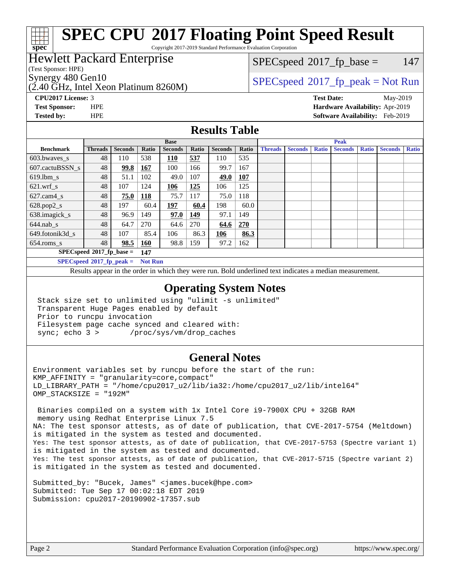### **[SPEC CPU](http://www.spec.org/auto/cpu2017/Docs/result-fields.html#SPECCPU2017FloatingPointSpeedResult)[2017 Floating Point Speed Result](http://www.spec.org/auto/cpu2017/Docs/result-fields.html#SPECCPU2017FloatingPointSpeedResult)**

Copyright 2017-2019 Standard Performance Evaluation Corporation

### Hewlett Packard Enterprise

(Test Sponsor: HPE)

**[spec](http://www.spec.org/)**

(2.40 GHz, Intel Xeon Platinum 8260M)

 $SPECspeed^{\circledcirc}2017_fp\_base = 147$  $SPECspeed^{\circledcirc}2017_fp\_base = 147$ 

### Synergy 480 Gen10<br>  $SPEC speed^{\circ}2017$  [p\_peak = Not Run

**[CPU2017 License:](http://www.spec.org/auto/cpu2017/Docs/result-fields.html#CPU2017License)** 3 **[Test Date:](http://www.spec.org/auto/cpu2017/Docs/result-fields.html#TestDate)** May-2019 **[Test Sponsor:](http://www.spec.org/auto/cpu2017/Docs/result-fields.html#TestSponsor)** HPE **[Hardware Availability:](http://www.spec.org/auto/cpu2017/Docs/result-fields.html#HardwareAvailability)** Apr-2019 **[Tested by:](http://www.spec.org/auto/cpu2017/Docs/result-fields.html#Testedby)** HPE **[Software Availability:](http://www.spec.org/auto/cpu2017/Docs/result-fields.html#SoftwareAvailability)** Feb-2019

#### **[Results Table](http://www.spec.org/auto/cpu2017/Docs/result-fields.html#ResultsTable)**

| <b>Base</b>                        |                |                |            | <b>Peak</b>    |       |                |            |                |                |              |                |              |                |              |
|------------------------------------|----------------|----------------|------------|----------------|-------|----------------|------------|----------------|----------------|--------------|----------------|--------------|----------------|--------------|
| <b>Benchmark</b>                   | <b>Threads</b> | <b>Seconds</b> | Ratio      | <b>Seconds</b> | Ratio | <b>Seconds</b> | Ratio      | <b>Threads</b> | <b>Seconds</b> | <b>Ratio</b> | <b>Seconds</b> | <b>Ratio</b> | <b>Seconds</b> | <b>Ratio</b> |
| $603.bwaves$ s                     | 48             | 110            | 538        | 110            | 537   | 110            | 535        |                |                |              |                |              |                |              |
| 607.cactuBSSN s                    | 48             | 99.8           | <b>167</b> | 100            | 166   | 99.7           | 167        |                |                |              |                |              |                |              |
| $619.$ lbm s                       | 48             | 51.1           | 102        | 49.0           | 107   | 49.0           | <b>107</b> |                |                |              |                |              |                |              |
| $621.wrf$ s                        | 48             | 107            | 124        | 106            | 125   | 106            | 125        |                |                |              |                |              |                |              |
| $627$ .cam $4$ <sub>s</sub>        | 48             | 75.0           | 118        | 75.7           | 117   | 75.0           | 118        |                |                |              |                |              |                |              |
| $628.pop2_s$                       | 48             | 197            | 60.4       | 197            | 60.4  | 198            | 60.0       |                |                |              |                |              |                |              |
| 638.imagick_s                      | 48             | 96.9           | 149        | 97.0           | 149   | 97.1           | 149        |                |                |              |                |              |                |              |
| $644$ .nab s                       | 48             | 64.7           | 270        | 64.6           | 270   | 64.6           | 270        |                |                |              |                |              |                |              |
| 649.fotonik3d s                    | 48             | 107            | 85.4       | 106            | 86.3  | 106            | 86.3       |                |                |              |                |              |                |              |
| $654$ .roms s                      | 48             | 98.5           | <b>160</b> | 98.8           | 159   | 97.2           | 162        |                |                |              |                |              |                |              |
| $SPECspeed*2017_fp\_base =$<br>147 |                |                |            |                |       |                |            |                |                |              |                |              |                |              |
|                                    |                |                | $-1$       |                |       |                |            |                |                |              |                |              |                |              |

**[SPECspeed](http://www.spec.org/auto/cpu2017/Docs/result-fields.html#SPECspeed2017fppeak)[2017\\_fp\\_peak =](http://www.spec.org/auto/cpu2017/Docs/result-fields.html#SPECspeed2017fppeak) Not Run**

Results appear in the [order in which they were run.](http://www.spec.org/auto/cpu2017/Docs/result-fields.html#RunOrder) Bold underlined text [indicates a median measurement](http://www.spec.org/auto/cpu2017/Docs/result-fields.html#Median).

#### **[Operating System Notes](http://www.spec.org/auto/cpu2017/Docs/result-fields.html#OperatingSystemNotes)**

 Stack size set to unlimited using "ulimit -s unlimited" Transparent Huge Pages enabled by default Prior to runcpu invocation Filesystem page cache synced and cleared with: sync; echo 3 > /proc/sys/vm/drop\_caches

#### **[General Notes](http://www.spec.org/auto/cpu2017/Docs/result-fields.html#GeneralNotes)**

Environment variables set by runcpu before the start of the run: KMP\_AFFINITY = "granularity=core,compact" LD\_LIBRARY\_PATH = "/home/cpu2017\_u2/lib/ia32:/home/cpu2017\_u2/lib/intel64" OMP\_STACKSIZE = "192M"

 Binaries compiled on a system with 1x Intel Core i9-7900X CPU + 32GB RAM memory using Redhat Enterprise Linux 7.5 NA: The test sponsor attests, as of date of publication, that CVE-2017-5754 (Meltdown) is mitigated in the system as tested and documented. Yes: The test sponsor attests, as of date of publication, that CVE-2017-5753 (Spectre variant 1) is mitigated in the system as tested and documented. Yes: The test sponsor attests, as of date of publication, that CVE-2017-5715 (Spectre variant 2) is mitigated in the system as tested and documented.

Submitted\_by: "Bucek, James" <james.bucek@hpe.com> Submitted: Tue Sep 17 00:02:18 EDT 2019 Submission: cpu2017-20190902-17357.sub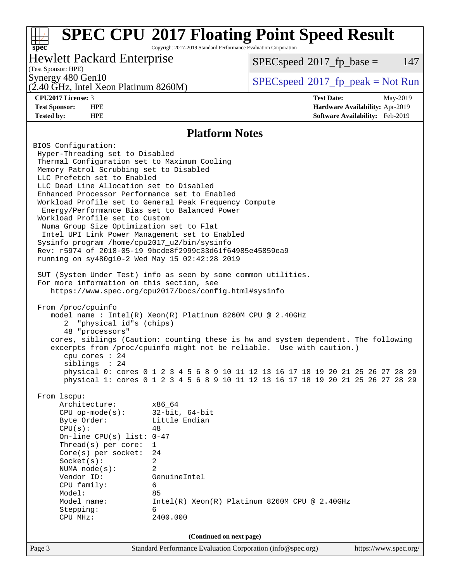#### **[spec](http://www.spec.org/) [SPEC CPU](http://www.spec.org/auto/cpu2017/Docs/result-fields.html#SPECCPU2017FloatingPointSpeedResult)[2017 Floating Point Speed Result](http://www.spec.org/auto/cpu2017/Docs/result-fields.html#SPECCPU2017FloatingPointSpeedResult)** Copyright 2017-2019 Standard Performance Evaluation Corporation (Test Sponsor: HPE) Hewlett Packard Enterprise  $SPECspeed^{\circ}2017\_fp\_base = 147$  $SPECspeed^{\circ}2017\_fp\_base = 147$

(2.40 GHz, Intel Xeon Platinum 8260M)

Synergy 480 Gen10<br>  $SPEC speed^{\circ}2017$  [p\_peak = Not Run

**[CPU2017 License:](http://www.spec.org/auto/cpu2017/Docs/result-fields.html#CPU2017License)** 3 **[Test Date:](http://www.spec.org/auto/cpu2017/Docs/result-fields.html#TestDate)** May-2019 **[Test Sponsor:](http://www.spec.org/auto/cpu2017/Docs/result-fields.html#TestSponsor)** HPE **[Hardware Availability:](http://www.spec.org/auto/cpu2017/Docs/result-fields.html#HardwareAvailability)** Apr-2019 **[Tested by:](http://www.spec.org/auto/cpu2017/Docs/result-fields.html#Testedby)** HPE **[Software Availability:](http://www.spec.org/auto/cpu2017/Docs/result-fields.html#SoftwareAvailability)** Feb-2019

#### **[Platform Notes](http://www.spec.org/auto/cpu2017/Docs/result-fields.html#PlatformNotes)**

Page 3 Standard Performance Evaluation Corporation [\(info@spec.org\)](mailto:info@spec.org) <https://www.spec.org/> BIOS Configuration: Hyper-Threading set to Disabled Thermal Configuration set to Maximum Cooling Memory Patrol Scrubbing set to Disabled LLC Prefetch set to Enabled LLC Dead Line Allocation set to Disabled Enhanced Processor Performance set to Enabled Workload Profile set to General Peak Frequency Compute Energy/Performance Bias set to Balanced Power Workload Profile set to Custom Numa Group Size Optimization set to Flat Intel UPI Link Power Management set to Enabled Sysinfo program /home/cpu2017\_u2/bin/sysinfo Rev: r5974 of 2018-05-19 9bcde8f2999c33d61f64985e45859ea9 running on sy480g10-2 Wed May 15 02:42:28 2019 SUT (System Under Test) info as seen by some common utilities. For more information on this section, see <https://www.spec.org/cpu2017/Docs/config.html#sysinfo> From /proc/cpuinfo model name : Intel(R) Xeon(R) Platinum 8260M CPU @ 2.40GHz 2 "physical id"s (chips) 48 "processors" cores, siblings (Caution: counting these is hw and system dependent. The following excerpts from /proc/cpuinfo might not be reliable. Use with caution.) cpu cores : 24 siblings : 24 physical 0: cores 0 1 2 3 4 5 6 8 9 10 11 12 13 16 17 18 19 20 21 25 26 27 28 29 physical 1: cores 0 1 2 3 4 5 6 8 9 10 11 12 13 16 17 18 19 20 21 25 26 27 28 29 From lscpu: Architecture: x86\_64 CPU op-mode(s): 32-bit, 64-bit Byte Order: Little Endian  $CPU(s):$  48 On-line CPU(s) list: 0-47 Thread(s) per core: 1 Core(s) per socket: 24 Socket(s): 2 NUMA node(s): 2 Vendor ID: GenuineIntel CPU family: 6 Model: 85 Model name: Intel(R) Xeon(R) Platinum 8260M CPU @ 2.40GHz Stepping: 6 CPU MHz: 2400.000 **(Continued on next page)**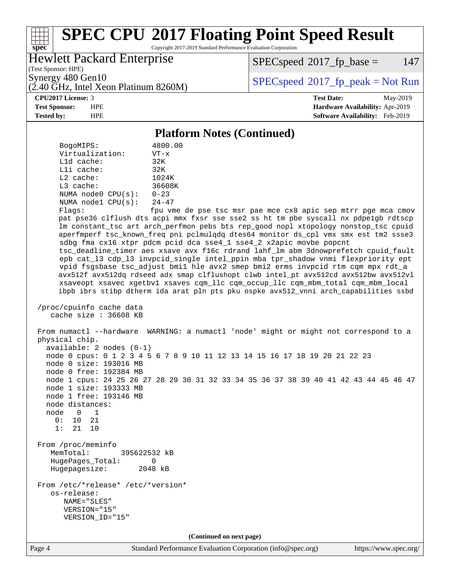# **[spec](http://www.spec.org/)**

## **[SPEC CPU](http://www.spec.org/auto/cpu2017/Docs/result-fields.html#SPECCPU2017FloatingPointSpeedResult)[2017 Floating Point Speed Result](http://www.spec.org/auto/cpu2017/Docs/result-fields.html#SPECCPU2017FloatingPointSpeedResult)**

Copyright 2017-2019 Standard Performance Evaluation Corporation

#### Hewlett Packard Enterprise

 $SPECspeed^{\circ}2017\_fp\_base = 147$  $SPECspeed^{\circ}2017\_fp\_base = 147$ 

(Test Sponsor: HPE)

(2.40 GHz, Intel Xeon Platinum 8260M)

Synergy 480 Gen10<br>  $SPEC speed^{\circ}2017$  [p\_peak = Not Run

**[CPU2017 License:](http://www.spec.org/auto/cpu2017/Docs/result-fields.html#CPU2017License)** 3 **[Test Date:](http://www.spec.org/auto/cpu2017/Docs/result-fields.html#TestDate)** May-2019 **[Test Sponsor:](http://www.spec.org/auto/cpu2017/Docs/result-fields.html#TestSponsor)** HPE **[Hardware Availability:](http://www.spec.org/auto/cpu2017/Docs/result-fields.html#HardwareAvailability)** Apr-2019 **[Tested by:](http://www.spec.org/auto/cpu2017/Docs/result-fields.html#Testedby)** HPE **[Software Availability:](http://www.spec.org/auto/cpu2017/Docs/result-fields.html#SoftwareAvailability)** Feb-2019

#### **[Platform Notes \(Continued\)](http://www.spec.org/auto/cpu2017/Docs/result-fields.html#PlatformNotes)**

 BogoMIPS: 4800.00 Virtualization: VT-x L1d cache: 32K L1i cache: 32K L2 cache: 1024K L3 cache: 36608K NUMA node0 CPU(s): 0-23 NUMA node1 CPU(s): 24-47 Flags: fpu vme de pse tsc msr pae mce cx8 apic sep mtrr pge mca cmov pat pse36 clflush dts acpi mmx fxsr sse sse2 ss ht tm pbe syscall nx pdpe1gb rdtscp lm constant\_tsc art arch\_perfmon pebs bts rep\_good nopl xtopology nonstop\_tsc cpuid aperfmperf tsc\_known\_freq pni pclmulqdq dtes64 monitor ds\_cpl vmx smx est tm2 ssse3 sdbg fma cx16 xtpr pdcm pcid dca sse4\_1 sse4\_2 x2apic movbe popcnt tsc\_deadline\_timer aes xsave avx f16c rdrand lahf\_lm abm 3dnowprefetch cpuid\_fault epb cat\_l3 cdp\_l3 invpcid\_single intel\_ppin mba tpr\_shadow vnmi flexpriority ept vpid fsgsbase tsc\_adjust bmi1 hle avx2 smep bmi2 erms invpcid rtm cqm mpx rdt\_a avx512f avx512dq rdseed adx smap clflushopt clwb intel\_pt avx512cd avx512bw avx512vl xsaveopt xsavec xgetbv1 xsaves cqm\_llc cqm\_occup\_llc cqm\_mbm\_total cqm\_mbm\_local ibpb ibrs stibp dtherm ida arat pln pts pku ospke avx512\_vnni arch\_capabilities ssbd /proc/cpuinfo cache data cache size : 36608 KB From numactl --hardware WARNING: a numactl 'node' might or might not correspond to a physical chip. available: 2 nodes (0-1) node 0 cpus: 0 1 2 3 4 5 6 7 8 9 10 11 12 13 14 15 16 17 18 19 20 21 22 23 node 0 size: 193016 MB node 0 free: 192384 MB node 1 cpus: 24 25 26 27 28 29 30 31 32 33 34 35 36 37 38 39 40 41 42 43 44 45 46 47 node 1 size: 193333 MB node 1 free: 193146 MB node distances: node 0 1 0: 10 21 1: 21 10 From /proc/meminfo MemTotal: 395622532 kB HugePages\_Total: 0 Hugepagesize: 2048 kB From /etc/\*release\* /etc/\*version\* os-release: NAME="SLES" VERSION="15" VERSION\_ID="15" **(Continued on next page)**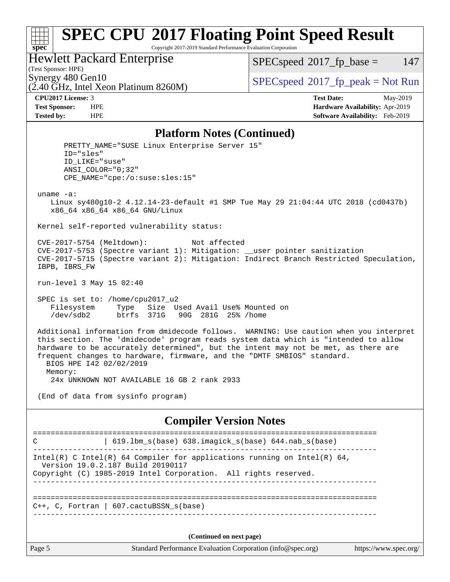### **[SPEC CPU](http://www.spec.org/auto/cpu2017/Docs/result-fields.html#SPECCPU2017FloatingPointSpeedResult)[2017 Floating Point Speed Result](http://www.spec.org/auto/cpu2017/Docs/result-fields.html#SPECCPU2017FloatingPointSpeedResult)**

Copyright 2017-2019 Standard Performance Evaluation Corporation

#### Hewlett Packard Enterprise

 $SPECspeed^{\circledcirc}2017_fp\_base = 147$  $SPECspeed^{\circledcirc}2017_fp\_base = 147$ 

(Test Sponsor: HPE)

**[spec](http://www.spec.org/)**

(2.40 GHz, Intel Xeon Platinum 8260M)

Synergy 480 Gen10<br>  $SPEC speed^{\circ}2017$  [p\_peak = Not Run

**[CPU2017 License:](http://www.spec.org/auto/cpu2017/Docs/result-fields.html#CPU2017License)** 3 **[Test Date:](http://www.spec.org/auto/cpu2017/Docs/result-fields.html#TestDate)** May-2019 **[Test Sponsor:](http://www.spec.org/auto/cpu2017/Docs/result-fields.html#TestSponsor)** HPE **[Hardware Availability:](http://www.spec.org/auto/cpu2017/Docs/result-fields.html#HardwareAvailability)** Apr-2019 **[Tested by:](http://www.spec.org/auto/cpu2017/Docs/result-fields.html#Testedby)** HPE **[Software Availability:](http://www.spec.org/auto/cpu2017/Docs/result-fields.html#SoftwareAvailability)** Feb-2019

#### **[Platform Notes \(Continued\)](http://www.spec.org/auto/cpu2017/Docs/result-fields.html#PlatformNotes)**

PRETTY NAME="SUSE Linux Enterprise Server 15" ID="sles" ID\_LIKE="suse" ANSI\_COLOR="0;32" CPE\_NAME="cpe:/o:suse:sles:15" uname -a: Linux sy480g10-2 4.12.14-23-default #1 SMP Tue May 29 21:04:44 UTC 2018 (cd0437b) x86\_64 x86\_64 x86\_64 GNU/Linux Kernel self-reported vulnerability status: CVE-2017-5754 (Meltdown): Not affected CVE-2017-5753 (Spectre variant 1): Mitigation: \_\_user pointer sanitization CVE-2017-5715 (Spectre variant 2): Mitigation: Indirect Branch Restricted Speculation, IBPB, IBRS\_FW run-level 3 May 15 02:40 SPEC is set to: /home/cpu2017\_u2 Filesystem Type Size Used Avail Use% Mounted on /dev/sdb2 btrfs 371G 90G 281G 25% /home Additional information from dmidecode follows. WARNING: Use caution when you interpret this section. The 'dmidecode' program reads system data which is "intended to allow hardware to be accurately determined", but the intent may not be met, as there are frequent changes to hardware, firmware, and the "DMTF SMBIOS" standard. BIOS HPE I42 02/02/2019 Memory: 24x UNKNOWN NOT AVAILABLE 16 GB 2 rank 2933 (End of data from sysinfo program) **[Compiler Version Notes](http://www.spec.org/auto/cpu2017/Docs/result-fields.html#CompilerVersionNotes)** ============================================================================== C | 619.1bm s(base) 638.imagick s(base) 644.nab s(base) ------------------------------------------------------------------------------ Intel(R) C Intel(R) 64 Compiler for applications running on Intel(R)  $64$ , Version 19.0.2.187 Build 20190117 Copyright (C) 1985-2019 Intel Corporation. All rights reserved.

==============================================================================  $C_{++}$ , C, Fortran | 607.cactuBSSN s(base) ------------------------------------------------------------------------------

------------------------------------------------------------------------------

**(Continued on next page)**

|  | age |  |  |
|--|-----|--|--|
|--|-----|--|--|

Page 5 Standard Performance Evaluation Corporation [\(info@spec.org\)](mailto:info@spec.org) <https://www.spec.org/>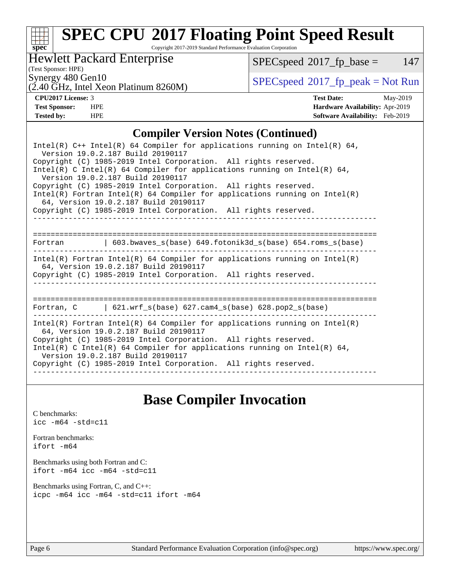# **[spec](http://www.spec.org/)**

## **[SPEC CPU](http://www.spec.org/auto/cpu2017/Docs/result-fields.html#SPECCPU2017FloatingPointSpeedResult)[2017 Floating Point Speed Result](http://www.spec.org/auto/cpu2017/Docs/result-fields.html#SPECCPU2017FloatingPointSpeedResult)**

Copyright 2017-2019 Standard Performance Evaluation Corporation

### Hewlett Packard Enterprise

 $SPEC speed@2017_fp\_base = 147$ 

(Test Sponsor: HPE)

(2.40 GHz, Intel Xeon Platinum 8260M)

Synergy 480 Gen10<br>  $SPEC speed^{\circ}2017$  [p\_peak = Not Run

**[CPU2017 License:](http://www.spec.org/auto/cpu2017/Docs/result-fields.html#CPU2017License)** 3 **[Test Date:](http://www.spec.org/auto/cpu2017/Docs/result-fields.html#TestDate)** May-2019 **[Test Sponsor:](http://www.spec.org/auto/cpu2017/Docs/result-fields.html#TestSponsor)** HPE **[Hardware Availability:](http://www.spec.org/auto/cpu2017/Docs/result-fields.html#HardwareAvailability)** Apr-2019 **[Tested by:](http://www.spec.org/auto/cpu2017/Docs/result-fields.html#Testedby)** HPE **[Software Availability:](http://www.spec.org/auto/cpu2017/Docs/result-fields.html#SoftwareAvailability)** Feb-2019

#### **[Compiler Version Notes \(Continued\)](http://www.spec.org/auto/cpu2017/Docs/result-fields.html#CompilerVersionNotes)**

| Intel(R) $C++$ Intel(R) 64 Compiler for applications running on Intel(R) 64,<br>Version 19.0.2.187 Build 20190117                                                                                                                                                                                                                                                              |
|--------------------------------------------------------------------------------------------------------------------------------------------------------------------------------------------------------------------------------------------------------------------------------------------------------------------------------------------------------------------------------|
| Copyright (C) 1985-2019 Intel Corporation. All rights reserved.<br>Intel(R) C Intel(R) 64 Compiler for applications running on Intel(R) 64,<br>Version 19.0.2.187 Build 20190117                                                                                                                                                                                               |
| Copyright (C) 1985-2019 Intel Corporation. All rights reserved.<br>$Intel(R)$ Fortran Intel(R) 64 Compiler for applications running on Intel(R)<br>64, Version 19.0.2.187 Build 20190117                                                                                                                                                                                       |
| Copyright (C) 1985-2019 Intel Corporation. All rights reserved.                                                                                                                                                                                                                                                                                                                |
| 603.bwaves $s(base)$ 649.fotonik3d $s(base)$ 654.roms $s(base)$<br>Fortran                                                                                                                                                                                                                                                                                                     |
| $Intel(R)$ Fortran Intel(R) 64 Compiler for applications running on Intel(R)<br>64, Version 19.0.2.187 Build 20190117<br>Copyright (C) 1985-2019 Intel Corporation. All rights reserved.                                                                                                                                                                                       |
| Fortran, $C = \begin{bmatrix} 621.wrf\_s(base) & 627.cam4_s(base) & 628.pop2_s(base) \end{bmatrix}$                                                                                                                                                                                                                                                                            |
| $Intel(R)$ Fortran Intel(R) 64 Compiler for applications running on Intel(R)<br>64, Version 19.0.2.187 Build 20190117<br>Copyright (C) 1985-2019 Intel Corporation. All rights reserved.<br>$Intel(R)$ C Intel(R) 64 Compiler for applications running on Intel(R) 64,<br>Version 19.0.2.187 Build 20190117<br>Copyright (C) 1985-2019 Intel Corporation. All rights reserved. |

### **[Base Compiler Invocation](http://www.spec.org/auto/cpu2017/Docs/result-fields.html#BaseCompilerInvocation)**

[C benchmarks](http://www.spec.org/auto/cpu2017/Docs/result-fields.html#Cbenchmarks): [icc -m64 -std=c11](http://www.spec.org/cpu2017/results/res2019q3/cpu2017-20190902-17357.flags.html#user_CCbase_intel_icc_64bit_c11_33ee0cdaae7deeeab2a9725423ba97205ce30f63b9926c2519791662299b76a0318f32ddfffdc46587804de3178b4f9328c46fa7c2b0cd779d7a61945c91cd35)

[Fortran benchmarks](http://www.spec.org/auto/cpu2017/Docs/result-fields.html#Fortranbenchmarks): [ifort -m64](http://www.spec.org/cpu2017/results/res2019q3/cpu2017-20190902-17357.flags.html#user_FCbase_intel_ifort_64bit_24f2bb282fbaeffd6157abe4f878425411749daecae9a33200eee2bee2fe76f3b89351d69a8130dd5949958ce389cf37ff59a95e7a40d588e8d3a57e0c3fd751)

[Benchmarks using both Fortran and C](http://www.spec.org/auto/cpu2017/Docs/result-fields.html#BenchmarksusingbothFortranandC): [ifort -m64](http://www.spec.org/cpu2017/results/res2019q3/cpu2017-20190902-17357.flags.html#user_CC_FCbase_intel_ifort_64bit_24f2bb282fbaeffd6157abe4f878425411749daecae9a33200eee2bee2fe76f3b89351d69a8130dd5949958ce389cf37ff59a95e7a40d588e8d3a57e0c3fd751) [icc -m64 -std=c11](http://www.spec.org/cpu2017/results/res2019q3/cpu2017-20190902-17357.flags.html#user_CC_FCbase_intel_icc_64bit_c11_33ee0cdaae7deeeab2a9725423ba97205ce30f63b9926c2519791662299b76a0318f32ddfffdc46587804de3178b4f9328c46fa7c2b0cd779d7a61945c91cd35)

[Benchmarks using Fortran, C, and C++:](http://www.spec.org/auto/cpu2017/Docs/result-fields.html#BenchmarksusingFortranCandCXX) [icpc -m64](http://www.spec.org/cpu2017/results/res2019q3/cpu2017-20190902-17357.flags.html#user_CC_CXX_FCbase_intel_icpc_64bit_4ecb2543ae3f1412ef961e0650ca070fec7b7afdcd6ed48761b84423119d1bf6bdf5cad15b44d48e7256388bc77273b966e5eb805aefd121eb22e9299b2ec9d9) [icc -m64 -std=c11](http://www.spec.org/cpu2017/results/res2019q3/cpu2017-20190902-17357.flags.html#user_CC_CXX_FCbase_intel_icc_64bit_c11_33ee0cdaae7deeeab2a9725423ba97205ce30f63b9926c2519791662299b76a0318f32ddfffdc46587804de3178b4f9328c46fa7c2b0cd779d7a61945c91cd35) [ifort -m64](http://www.spec.org/cpu2017/results/res2019q3/cpu2017-20190902-17357.flags.html#user_CC_CXX_FCbase_intel_ifort_64bit_24f2bb282fbaeffd6157abe4f878425411749daecae9a33200eee2bee2fe76f3b89351d69a8130dd5949958ce389cf37ff59a95e7a40d588e8d3a57e0c3fd751)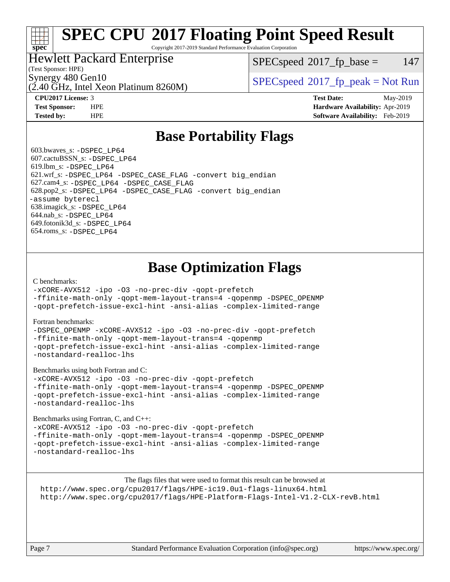## **[SPEC CPU](http://www.spec.org/auto/cpu2017/Docs/result-fields.html#SPECCPU2017FloatingPointSpeedResult)[2017 Floating Point Speed Result](http://www.spec.org/auto/cpu2017/Docs/result-fields.html#SPECCPU2017FloatingPointSpeedResult)**

Copyright 2017-2019 Standard Performance Evaluation Corporation

#### Hewlett Packard Enterprise

(Test Sponsor: HPE)

**[spec](http://www.spec.org/)**

 $SPEC speed^{\circ}2017$  fp base = 147

(2.40 GHz, Intel Xeon Platinum 8260M)

Synergy 480 Gen10<br>  $SPEC speed^{\circ}2017$  [p\_peak = Not Run

**[CPU2017 License:](http://www.spec.org/auto/cpu2017/Docs/result-fields.html#CPU2017License)** 3 **[Test Date:](http://www.spec.org/auto/cpu2017/Docs/result-fields.html#TestDate)** May-2019 **[Test Sponsor:](http://www.spec.org/auto/cpu2017/Docs/result-fields.html#TestSponsor)** HPE **[Hardware Availability:](http://www.spec.org/auto/cpu2017/Docs/result-fields.html#HardwareAvailability)** Apr-2019 **[Tested by:](http://www.spec.org/auto/cpu2017/Docs/result-fields.html#Testedby)** HPE **[Software Availability:](http://www.spec.org/auto/cpu2017/Docs/result-fields.html#SoftwareAvailability)** Feb-2019

### **[Base Portability Flags](http://www.spec.org/auto/cpu2017/Docs/result-fields.html#BasePortabilityFlags)**

 603.bwaves\_s: [-DSPEC\\_LP64](http://www.spec.org/cpu2017/results/res2019q3/cpu2017-20190902-17357.flags.html#suite_basePORTABILITY603_bwaves_s_DSPEC_LP64) 607.cactuBSSN\_s: [-DSPEC\\_LP64](http://www.spec.org/cpu2017/results/res2019q3/cpu2017-20190902-17357.flags.html#suite_basePORTABILITY607_cactuBSSN_s_DSPEC_LP64) 619.lbm\_s: [-DSPEC\\_LP64](http://www.spec.org/cpu2017/results/res2019q3/cpu2017-20190902-17357.flags.html#suite_basePORTABILITY619_lbm_s_DSPEC_LP64) 621.wrf\_s: [-DSPEC\\_LP64](http://www.spec.org/cpu2017/results/res2019q3/cpu2017-20190902-17357.flags.html#suite_basePORTABILITY621_wrf_s_DSPEC_LP64) [-DSPEC\\_CASE\\_FLAG](http://www.spec.org/cpu2017/results/res2019q3/cpu2017-20190902-17357.flags.html#b621.wrf_s_baseCPORTABILITY_DSPEC_CASE_FLAG) [-convert big\\_endian](http://www.spec.org/cpu2017/results/res2019q3/cpu2017-20190902-17357.flags.html#user_baseFPORTABILITY621_wrf_s_convert_big_endian_c3194028bc08c63ac5d04de18c48ce6d347e4e562e8892b8bdbdc0214820426deb8554edfa529a3fb25a586e65a3d812c835984020483e7e73212c4d31a38223) 627.cam4\_s: [-DSPEC\\_LP64](http://www.spec.org/cpu2017/results/res2019q3/cpu2017-20190902-17357.flags.html#suite_basePORTABILITY627_cam4_s_DSPEC_LP64) [-DSPEC\\_CASE\\_FLAG](http://www.spec.org/cpu2017/results/res2019q3/cpu2017-20190902-17357.flags.html#b627.cam4_s_baseCPORTABILITY_DSPEC_CASE_FLAG) 628.pop2\_s: [-DSPEC\\_LP64](http://www.spec.org/cpu2017/results/res2019q3/cpu2017-20190902-17357.flags.html#suite_basePORTABILITY628_pop2_s_DSPEC_LP64) [-DSPEC\\_CASE\\_FLAG](http://www.spec.org/cpu2017/results/res2019q3/cpu2017-20190902-17357.flags.html#b628.pop2_s_baseCPORTABILITY_DSPEC_CASE_FLAG) [-convert big\\_endian](http://www.spec.org/cpu2017/results/res2019q3/cpu2017-20190902-17357.flags.html#user_baseFPORTABILITY628_pop2_s_convert_big_endian_c3194028bc08c63ac5d04de18c48ce6d347e4e562e8892b8bdbdc0214820426deb8554edfa529a3fb25a586e65a3d812c835984020483e7e73212c4d31a38223) [-assume byterecl](http://www.spec.org/cpu2017/results/res2019q3/cpu2017-20190902-17357.flags.html#user_baseFPORTABILITY628_pop2_s_assume_byterecl_7e47d18b9513cf18525430bbf0f2177aa9bf368bc7a059c09b2c06a34b53bd3447c950d3f8d6c70e3faf3a05c8557d66a5798b567902e8849adc142926523472) 638.imagick\_s: [-DSPEC\\_LP64](http://www.spec.org/cpu2017/results/res2019q3/cpu2017-20190902-17357.flags.html#suite_basePORTABILITY638_imagick_s_DSPEC_LP64) 644.nab\_s: [-DSPEC\\_LP64](http://www.spec.org/cpu2017/results/res2019q3/cpu2017-20190902-17357.flags.html#suite_basePORTABILITY644_nab_s_DSPEC_LP64) 649.fotonik3d\_s: [-DSPEC\\_LP64](http://www.spec.org/cpu2017/results/res2019q3/cpu2017-20190902-17357.flags.html#suite_basePORTABILITY649_fotonik3d_s_DSPEC_LP64) 654.roms\_s: [-DSPEC\\_LP64](http://www.spec.org/cpu2017/results/res2019q3/cpu2017-20190902-17357.flags.html#suite_basePORTABILITY654_roms_s_DSPEC_LP64)

### **[Base Optimization Flags](http://www.spec.org/auto/cpu2017/Docs/result-fields.html#BaseOptimizationFlags)**

#### [C benchmarks](http://www.spec.org/auto/cpu2017/Docs/result-fields.html#Cbenchmarks):

[-xCORE-AVX512](http://www.spec.org/cpu2017/results/res2019q3/cpu2017-20190902-17357.flags.html#user_CCbase_f-xCORE-AVX512) [-ipo](http://www.spec.org/cpu2017/results/res2019q3/cpu2017-20190902-17357.flags.html#user_CCbase_f-ipo) [-O3](http://www.spec.org/cpu2017/results/res2019q3/cpu2017-20190902-17357.flags.html#user_CCbase_f-O3) [-no-prec-div](http://www.spec.org/cpu2017/results/res2019q3/cpu2017-20190902-17357.flags.html#user_CCbase_f-no-prec-div) [-qopt-prefetch](http://www.spec.org/cpu2017/results/res2019q3/cpu2017-20190902-17357.flags.html#user_CCbase_f-qopt-prefetch)

[-ffinite-math-only](http://www.spec.org/cpu2017/results/res2019q3/cpu2017-20190902-17357.flags.html#user_CCbase_f_finite_math_only_cb91587bd2077682c4b38af759c288ed7c732db004271a9512da14a4f8007909a5f1427ecbf1a0fb78ff2a814402c6114ac565ca162485bbcae155b5e4258871) [-qopt-mem-layout-trans=4](http://www.spec.org/cpu2017/results/res2019q3/cpu2017-20190902-17357.flags.html#user_CCbase_f-qopt-mem-layout-trans_fa39e755916c150a61361b7846f310bcdf6f04e385ef281cadf3647acec3f0ae266d1a1d22d972a7087a248fd4e6ca390a3634700869573d231a252c784941a8) [-qopenmp](http://www.spec.org/cpu2017/results/res2019q3/cpu2017-20190902-17357.flags.html#user_CCbase_qopenmp_16be0c44f24f464004c6784a7acb94aca937f053568ce72f94b139a11c7c168634a55f6653758ddd83bcf7b8463e8028bb0b48b77bcddc6b78d5d95bb1df2967) [-DSPEC\\_OPENMP](http://www.spec.org/cpu2017/results/res2019q3/cpu2017-20190902-17357.flags.html#suite_CCbase_DSPEC_OPENMP) [-qopt-prefetch-issue-excl-hint](http://www.spec.org/cpu2017/results/res2019q3/cpu2017-20190902-17357.flags.html#user_CCbase_f-qopt-prefetch-issue-excl-hint) [-ansi-alias](http://www.spec.org/cpu2017/results/res2019q3/cpu2017-20190902-17357.flags.html#user_CCbase_f-ansi-alias) [-complex-limited-range](http://www.spec.org/cpu2017/results/res2019q3/cpu2017-20190902-17357.flags.html#user_CCbase_f-complex-limited-range)

#### [Fortran benchmarks](http://www.spec.org/auto/cpu2017/Docs/result-fields.html#Fortranbenchmarks):

[-DSPEC\\_OPENMP](http://www.spec.org/cpu2017/results/res2019q3/cpu2017-20190902-17357.flags.html#suite_FCbase_DSPEC_OPENMP) [-xCORE-AVX512](http://www.spec.org/cpu2017/results/res2019q3/cpu2017-20190902-17357.flags.html#user_FCbase_f-xCORE-AVX512) [-ipo](http://www.spec.org/cpu2017/results/res2019q3/cpu2017-20190902-17357.flags.html#user_FCbase_f-ipo) [-O3](http://www.spec.org/cpu2017/results/res2019q3/cpu2017-20190902-17357.flags.html#user_FCbase_f-O3) [-no-prec-div](http://www.spec.org/cpu2017/results/res2019q3/cpu2017-20190902-17357.flags.html#user_FCbase_f-no-prec-div) [-qopt-prefetch](http://www.spec.org/cpu2017/results/res2019q3/cpu2017-20190902-17357.flags.html#user_FCbase_f-qopt-prefetch) [-ffinite-math-only](http://www.spec.org/cpu2017/results/res2019q3/cpu2017-20190902-17357.flags.html#user_FCbase_f_finite_math_only_cb91587bd2077682c4b38af759c288ed7c732db004271a9512da14a4f8007909a5f1427ecbf1a0fb78ff2a814402c6114ac565ca162485bbcae155b5e4258871) [-qopt-mem-layout-trans=4](http://www.spec.org/cpu2017/results/res2019q3/cpu2017-20190902-17357.flags.html#user_FCbase_f-qopt-mem-layout-trans_fa39e755916c150a61361b7846f310bcdf6f04e385ef281cadf3647acec3f0ae266d1a1d22d972a7087a248fd4e6ca390a3634700869573d231a252c784941a8) [-qopenmp](http://www.spec.org/cpu2017/results/res2019q3/cpu2017-20190902-17357.flags.html#user_FCbase_qopenmp_16be0c44f24f464004c6784a7acb94aca937f053568ce72f94b139a11c7c168634a55f6653758ddd83bcf7b8463e8028bb0b48b77bcddc6b78d5d95bb1df2967) [-qopt-prefetch-issue-excl-hint](http://www.spec.org/cpu2017/results/res2019q3/cpu2017-20190902-17357.flags.html#user_FCbase_f-qopt-prefetch-issue-excl-hint) [-ansi-alias](http://www.spec.org/cpu2017/results/res2019q3/cpu2017-20190902-17357.flags.html#user_FCbase_f-ansi-alias) [-complex-limited-range](http://www.spec.org/cpu2017/results/res2019q3/cpu2017-20190902-17357.flags.html#user_FCbase_f-complex-limited-range) [-nostandard-realloc-lhs](http://www.spec.org/cpu2017/results/res2019q3/cpu2017-20190902-17357.flags.html#user_FCbase_f_2003_std_realloc_82b4557e90729c0f113870c07e44d33d6f5a304b4f63d4c15d2d0f1fab99f5daaed73bdb9275d9ae411527f28b936061aa8b9c8f2d63842963b95c9dd6426b8a)

[Benchmarks using both Fortran and C](http://www.spec.org/auto/cpu2017/Docs/result-fields.html#BenchmarksusingbothFortranandC):

[-xCORE-AVX512](http://www.spec.org/cpu2017/results/res2019q3/cpu2017-20190902-17357.flags.html#user_CC_FCbase_f-xCORE-AVX512) [-ipo](http://www.spec.org/cpu2017/results/res2019q3/cpu2017-20190902-17357.flags.html#user_CC_FCbase_f-ipo) [-O3](http://www.spec.org/cpu2017/results/res2019q3/cpu2017-20190902-17357.flags.html#user_CC_FCbase_f-O3) [-no-prec-div](http://www.spec.org/cpu2017/results/res2019q3/cpu2017-20190902-17357.flags.html#user_CC_FCbase_f-no-prec-div) [-qopt-prefetch](http://www.spec.org/cpu2017/results/res2019q3/cpu2017-20190902-17357.flags.html#user_CC_FCbase_f-qopt-prefetch) [-ffinite-math-only](http://www.spec.org/cpu2017/results/res2019q3/cpu2017-20190902-17357.flags.html#user_CC_FCbase_f_finite_math_only_cb91587bd2077682c4b38af759c288ed7c732db004271a9512da14a4f8007909a5f1427ecbf1a0fb78ff2a814402c6114ac565ca162485bbcae155b5e4258871) [-qopt-mem-layout-trans=4](http://www.spec.org/cpu2017/results/res2019q3/cpu2017-20190902-17357.flags.html#user_CC_FCbase_f-qopt-mem-layout-trans_fa39e755916c150a61361b7846f310bcdf6f04e385ef281cadf3647acec3f0ae266d1a1d22d972a7087a248fd4e6ca390a3634700869573d231a252c784941a8) [-qopenmp](http://www.spec.org/cpu2017/results/res2019q3/cpu2017-20190902-17357.flags.html#user_CC_FCbase_qopenmp_16be0c44f24f464004c6784a7acb94aca937f053568ce72f94b139a11c7c168634a55f6653758ddd83bcf7b8463e8028bb0b48b77bcddc6b78d5d95bb1df2967) [-DSPEC\\_OPENMP](http://www.spec.org/cpu2017/results/res2019q3/cpu2017-20190902-17357.flags.html#suite_CC_FCbase_DSPEC_OPENMP) [-qopt-prefetch-issue-excl-hint](http://www.spec.org/cpu2017/results/res2019q3/cpu2017-20190902-17357.flags.html#user_CC_FCbase_f-qopt-prefetch-issue-excl-hint) [-ansi-alias](http://www.spec.org/cpu2017/results/res2019q3/cpu2017-20190902-17357.flags.html#user_CC_FCbase_f-ansi-alias) [-complex-limited-range](http://www.spec.org/cpu2017/results/res2019q3/cpu2017-20190902-17357.flags.html#user_CC_FCbase_f-complex-limited-range) [-nostandard-realloc-lhs](http://www.spec.org/cpu2017/results/res2019q3/cpu2017-20190902-17357.flags.html#user_CC_FCbase_f_2003_std_realloc_82b4557e90729c0f113870c07e44d33d6f5a304b4f63d4c15d2d0f1fab99f5daaed73bdb9275d9ae411527f28b936061aa8b9c8f2d63842963b95c9dd6426b8a)

[Benchmarks using Fortran, C, and C++:](http://www.spec.org/auto/cpu2017/Docs/result-fields.html#BenchmarksusingFortranCandCXX)

[-xCORE-AVX512](http://www.spec.org/cpu2017/results/res2019q3/cpu2017-20190902-17357.flags.html#user_CC_CXX_FCbase_f-xCORE-AVX512) [-ipo](http://www.spec.org/cpu2017/results/res2019q3/cpu2017-20190902-17357.flags.html#user_CC_CXX_FCbase_f-ipo) [-O3](http://www.spec.org/cpu2017/results/res2019q3/cpu2017-20190902-17357.flags.html#user_CC_CXX_FCbase_f-O3) [-no-prec-div](http://www.spec.org/cpu2017/results/res2019q3/cpu2017-20190902-17357.flags.html#user_CC_CXX_FCbase_f-no-prec-div) [-qopt-prefetch](http://www.spec.org/cpu2017/results/res2019q3/cpu2017-20190902-17357.flags.html#user_CC_CXX_FCbase_f-qopt-prefetch) [-ffinite-math-only](http://www.spec.org/cpu2017/results/res2019q3/cpu2017-20190902-17357.flags.html#user_CC_CXX_FCbase_f_finite_math_only_cb91587bd2077682c4b38af759c288ed7c732db004271a9512da14a4f8007909a5f1427ecbf1a0fb78ff2a814402c6114ac565ca162485bbcae155b5e4258871) [-qopt-mem-layout-trans=4](http://www.spec.org/cpu2017/results/res2019q3/cpu2017-20190902-17357.flags.html#user_CC_CXX_FCbase_f-qopt-mem-layout-trans_fa39e755916c150a61361b7846f310bcdf6f04e385ef281cadf3647acec3f0ae266d1a1d22d972a7087a248fd4e6ca390a3634700869573d231a252c784941a8) [-qopenmp](http://www.spec.org/cpu2017/results/res2019q3/cpu2017-20190902-17357.flags.html#user_CC_CXX_FCbase_qopenmp_16be0c44f24f464004c6784a7acb94aca937f053568ce72f94b139a11c7c168634a55f6653758ddd83bcf7b8463e8028bb0b48b77bcddc6b78d5d95bb1df2967) [-DSPEC\\_OPENMP](http://www.spec.org/cpu2017/results/res2019q3/cpu2017-20190902-17357.flags.html#suite_CC_CXX_FCbase_DSPEC_OPENMP) [-qopt-prefetch-issue-excl-hint](http://www.spec.org/cpu2017/results/res2019q3/cpu2017-20190902-17357.flags.html#user_CC_CXX_FCbase_f-qopt-prefetch-issue-excl-hint) [-ansi-alias](http://www.spec.org/cpu2017/results/res2019q3/cpu2017-20190902-17357.flags.html#user_CC_CXX_FCbase_f-ansi-alias) [-complex-limited-range](http://www.spec.org/cpu2017/results/res2019q3/cpu2017-20190902-17357.flags.html#user_CC_CXX_FCbase_f-complex-limited-range) [-nostandard-realloc-lhs](http://www.spec.org/cpu2017/results/res2019q3/cpu2017-20190902-17357.flags.html#user_CC_CXX_FCbase_f_2003_std_realloc_82b4557e90729c0f113870c07e44d33d6f5a304b4f63d4c15d2d0f1fab99f5daaed73bdb9275d9ae411527f28b936061aa8b9c8f2d63842963b95c9dd6426b8a)

[The flags files that were used to format this result can be browsed at](tmsearch) <http://www.spec.org/cpu2017/flags/HPE-ic19.0u1-flags-linux64.html> <http://www.spec.org/cpu2017/flags/HPE-Platform-Flags-Intel-V1.2-CLX-revB.html>